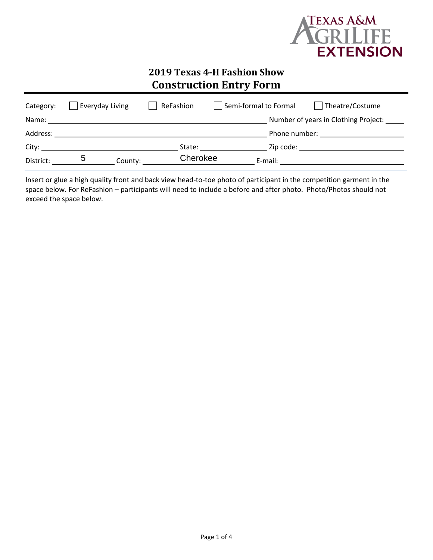

# **2019 Texas 4-H Fashion Show Construction Entry Form**

| Category: | Everyday Living |         | ReFashion | Semi-formal to Formal |           | Theatre/Costume                                                                                                                                                                                                                |
|-----------|-----------------|---------|-----------|-----------------------|-----------|--------------------------------------------------------------------------------------------------------------------------------------------------------------------------------------------------------------------------------|
| Name:     |                 |         |           |                       |           | Number of years in Clothing Project: _____                                                                                                                                                                                     |
| Address:  |                 |         |           |                       |           | Phone number: and the state of the state of the state of the state of the state of the state of the state of the state of the state of the state of the state of the state of the state of the state of the state of the state |
| City:     |                 |         | State:    |                       | Zip code: |                                                                                                                                                                                                                                |
| District: |                 | County: | Cherokee  |                       | E-mail:   |                                                                                                                                                                                                                                |

Insert or glue a high quality front and back view head-to-toe photo of participant in the competition garment in the space below. For ReFashion – participants will need to include a before and after photo. Photo/Photos should not exceed the space below.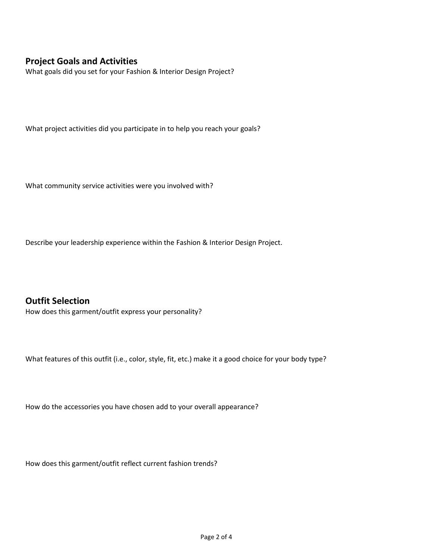### **Project Goals and Activities**

What goals did you set for your Fashion & Interior Design Project?

What project activities did you participate in to help you reach your goals?

What community service activities were you involved with?

Describe your leadership experience within the Fashion & Interior Design Project.

**Outfit Selection** How does this garment/outfit express your personality?

What features of this outfit (i.e., color, style, fit, etc.) make it a good choice for your body type?

How do the accessories you have chosen add to your overall appearance?

How does this garment/outfit reflect current fashion trends?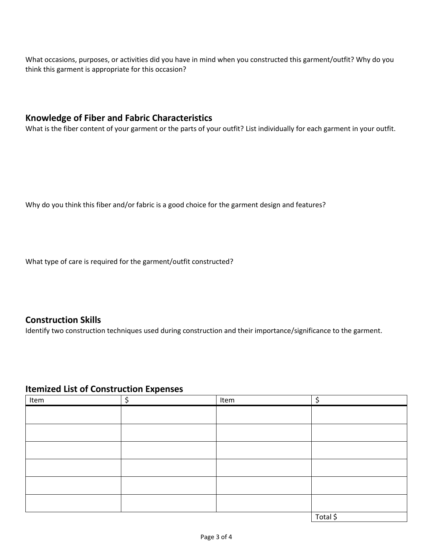What occasions, purposes, or activities did you have in mind when you constructed this garment/outfit? Why do you think this garment is appropriate for this occasion?

### **Knowledge of Fiber and Fabric Characteristics**

What is the fiber content of your garment or the parts of your outfit? List individually for each garment in your outfit.

Why do you think this fiber and/or fabric is a good choice for the garment design and features?

What type of care is required for the garment/outfit constructed?

#### **Construction Skills**

Identify two construction techniques used during construction and their importance/significance to the garment.

#### **Itemized List of Construction Expenses**

| Item | ċ | Item | ∼        |
|------|---|------|----------|
|      |   |      |          |
|      |   |      |          |
|      |   |      |          |
|      |   |      |          |
|      |   |      |          |
|      |   |      |          |
|      |   |      | Total \$ |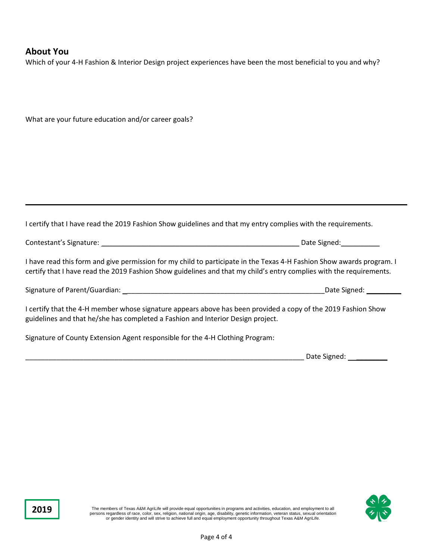#### **About You**

**2019**

What are your future education and/or career goals?

Which of your 4-H Fashion & Interior Design project experiences have been the most beneficial to you and why?

| I certify that I have read the 2019 Fashion Show guidelines and that my entry complies with the requirements.                                                                                                                                |                   |
|----------------------------------------------------------------------------------------------------------------------------------------------------------------------------------------------------------------------------------------------|-------------------|
|                                                                                                                                                                                                                                              |                   |
| I have read this form and give permission for my child to participate in the Texas 4-H Fashion Show awards program. I<br>certify that I have read the 2019 Fashion Show guidelines and that my child's entry complies with the requirements. |                   |
|                                                                                                                                                                                                                                              | Date Signed: 1997 |
| I certify that the 4-H member whose signature appears above has been provided a copy of the 2019 Fashion Show<br>guidelines and that he/she has completed a Fashion and Interior Design project.                                             |                   |
| Signature of County Extension Agent responsible for the 4-H Clothing Program:                                                                                                                                                                |                   |
|                                                                                                                                                                                                                                              | Date Signed:      |

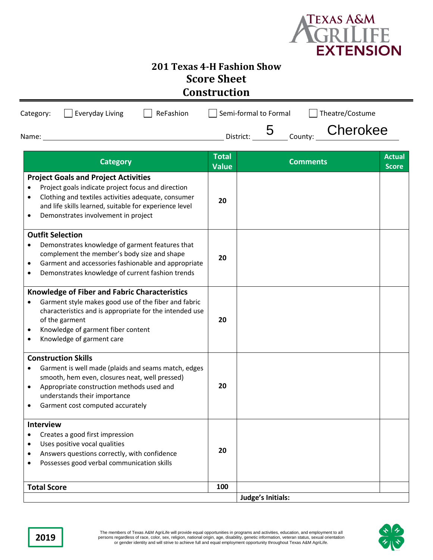

# **201 Texas 4-H Fashion Show Score Sheet Construction**

| Everyday Living<br>ReFashion<br>Category:<br>Name:                                                                                                                                                                                                                                  |                              | Semi-formal to Formal<br>5<br>County:<br>District: | Theatre/Costume<br>Cherokee   |
|-------------------------------------------------------------------------------------------------------------------------------------------------------------------------------------------------------------------------------------------------------------------------------------|------------------------------|----------------------------------------------------|-------------------------------|
| <b>Category</b>                                                                                                                                                                                                                                                                     | <b>Total</b><br><b>Value</b> | <b>Comments</b>                                    | <b>Actual</b><br><b>Score</b> |
| <b>Project Goals and Project Activities</b><br>Project goals indicate project focus and direction<br>Clothing and textiles activities adequate, consumer<br>and life skills learned, suitable for experience level<br>Demonstrates involvement in project<br>٠                      |                              |                                                    |                               |
| <b>Outfit Selection</b><br>Demonstrates knowledge of garment features that<br>٠<br>complement the member's body size and shape<br>Garment and accessories fashionable and appropriate<br>$\bullet$<br>Demonstrates knowledge of current fashion trends<br>٠                         | 20                           |                                                    |                               |
| <b>Knowledge of Fiber and Fabric Characteristics</b><br>Garment style makes good use of the fiber and fabric<br>$\bullet$<br>characteristics and is appropriate for the intended use<br>of the garment<br>Knowledge of garment fiber content<br>٠<br>Knowledge of garment care<br>٠ | 20                           |                                                    |                               |
| <b>Construction Skills</b><br>Garment is well made (plaids and seams match, edges<br>smooth, hem even, closures neat, well pressed)<br>Appropriate construction methods used and<br>$\bullet$<br>understands their importance<br>Garment cost computed accurately                   |                              |                                                    |                               |
| <b>Interview</b><br>Creates a good first impression<br>$\bullet$<br>Uses positive vocal qualities<br>٠<br>Answers questions correctly, with confidence<br>Possesses good verbal communication skills                                                                                |                              |                                                    |                               |
| <b>Total Score</b>                                                                                                                                                                                                                                                                  | 100                          | Judge's Initials:                                  |                               |